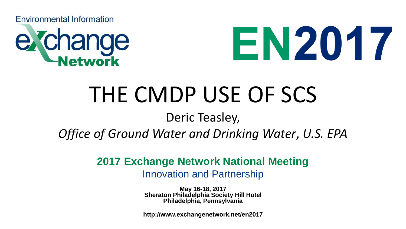**Environmental Information** 





## THE CMDP USE OF SCS

#### Deric Teasley,

#### *Office of Ground Water and Drinking Water*, *U.S. EPA*

#### **2017 Exchange Network National Meeting**

Innovation and Partnership

**May 16-18, 2017 Sheraton Philadelphia Society Hill Hotel Philadelphia, Pennsylvania**

**http://www.exchangenetwork.net/en2017**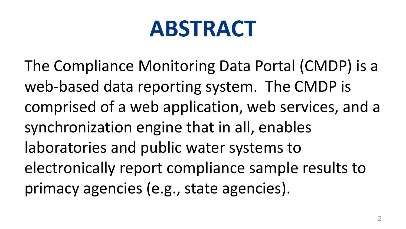### **ABSTRACT**

The Compliance Monitoring Data Portal (CMDP) is a web-based data reporting system. The CMDP is comprised of a web application, web services, and a synchronization engine that in all, enables laboratories and public water systems to electronically report compliance sample results to primacy agencies (e.g., state agencies).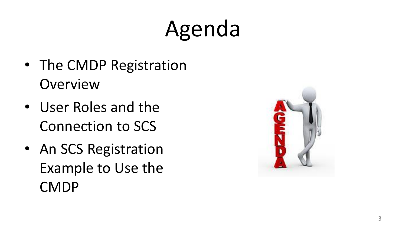# Agenda

- The CMDP Registration **Overview**
- User Roles and the Connection to SCS
- An SCS Registration Example to Use the CMDP

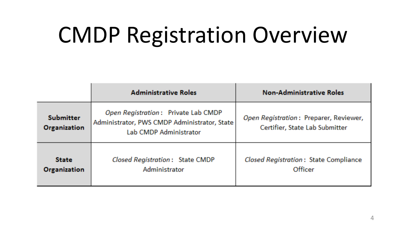# CMDP Registration Overview

|                                         | <b>Administrative Roles</b>                                                                                   | <b>Non-Administrative Roles</b>                                          |
|-----------------------------------------|---------------------------------------------------------------------------------------------------------------|--------------------------------------------------------------------------|
| <b>Submitter</b><br><b>Organization</b> | Open Registration: Private Lab CMDP<br>Administrator, PWS CMDP Administrator, State<br>Lab CMDP Administrator | Open Registration: Preparer, Reviewer,<br>Certifier, State Lab Submitter |
| <b>State</b><br><b>Organization</b>     | Closed Registration: State CMDP<br>Administrator                                                              | Closed Registration: State Compliance<br>Officer                         |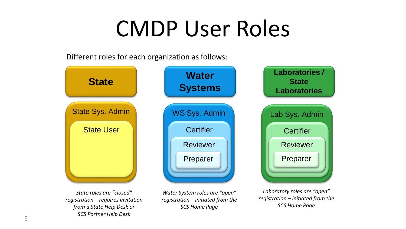## CMDP User Roles

Different roles for each organization as follows:

*State roles are "closed" registration – requires invitation from a State Help Desk or SCS Partner Help Desk*



*Water System roles are "open" registration – initiated from the SCS Home Page*

*Laboratory roles are "open" registration – initiated from the SCS Home Page*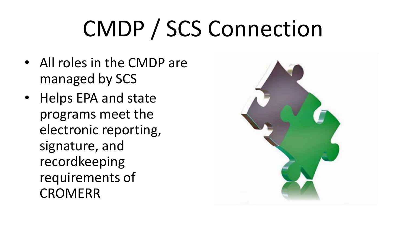# CMDP / SCS Connection

- All roles in the CMDP are managed by SCS
- Helps EPA and state programs meet the electronic reporting, signature, and recordkeeping requirements of CROMERR

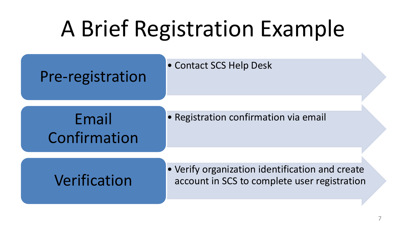# A Brief Registration Example

Pre-registration

• Contact SCS Help Desk

Confirmation

Email • Registration confirmation via email

• Verify organization identification and create Verification account in SCS to complete user registration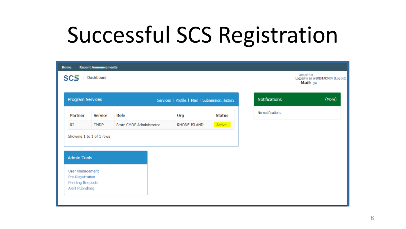## Successful SCS Registration

| <b>Home</b>                                                           | <b>Recent Announcements</b> |                                 |                                                |               |
|-----------------------------------------------------------------------|-----------------------------|---------------------------------|------------------------------------------------|---------------|
| <b>SCS</b>                                                            | Dashboard                   |                                 |                                                |               |
| Program Services                                                      |                             |                                 | Services   Profile   Mail   Submission History |               |
| <b>Partner</b>                                                        | <b>Service</b>              | <b>Role</b>                     | Org                                            | <b>Status</b> |
| RI                                                                    | <b>CMDP</b>                 | <b>State CMDP Administrator</b> | RHODE ISLAND                                   | Active        |
| <b>Admin Tools</b>                                                    | Showing 1 to 1 of 1 rows    |                                 |                                                |               |
| <b>User Management</b><br>Pre-Registration<br><b>Pending Requests</b> |                             |                                 |                                                |               |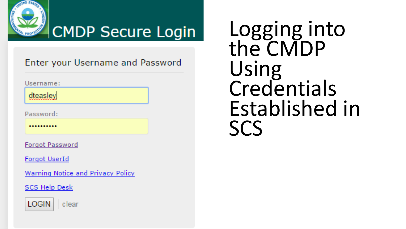

#### CMDP Secure Login

Enter your Username and Password

Username:

dteasley

Password:

..........

**Forgot Password** 

**Forgot UserId** 

Warning Notice and Privacy Policy

**SCS Help Desk** 



clear

Logging into the CMDP Using **Credentials** Established in SCS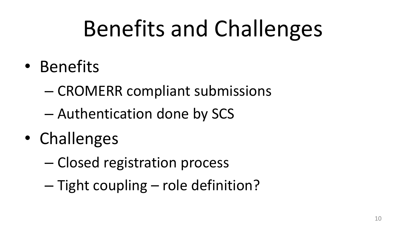# Benefits and Challenges

- Benefits
	- CROMERR compliant submissions
	- Authentication done by SCS
- Challenges
	- Closed registration process
	- Tight coupling role definition?